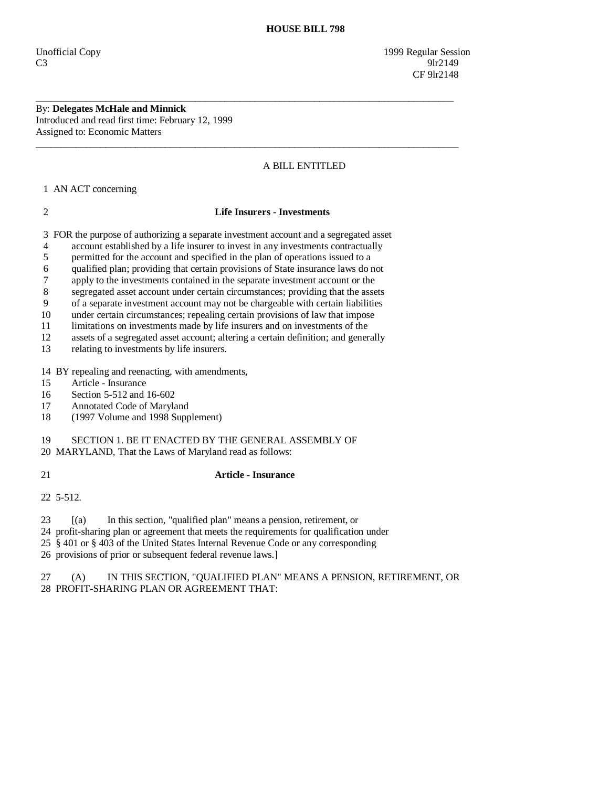Unofficial Copy 1999 Regular Session  $C3$  9lr2149 CF 9lr2148

By: **Delegates McHale and Minnick**  Introduced and read first time: February 12, 1999 Assigned to: Economic Matters

# A BILL ENTITLED

1 AN ACT concerning

2 **Life Insurers - Investments** 

\_\_\_\_\_\_\_\_\_\_\_\_\_\_\_\_\_\_\_\_\_\_\_\_\_\_\_\_\_\_\_\_\_\_\_\_\_\_\_\_\_\_\_\_\_\_\_\_\_\_\_\_\_\_\_\_\_\_\_\_\_\_\_\_\_\_\_\_\_\_\_\_\_\_\_\_\_\_\_\_\_\_\_\_

 $\overline{\phantom{a}}$  ,  $\overline{\phantom{a}}$  ,  $\overline{\phantom{a}}$  ,  $\overline{\phantom{a}}$  ,  $\overline{\phantom{a}}$  ,  $\overline{\phantom{a}}$  ,  $\overline{\phantom{a}}$  ,  $\overline{\phantom{a}}$  ,  $\overline{\phantom{a}}$  ,  $\overline{\phantom{a}}$  ,  $\overline{\phantom{a}}$  ,  $\overline{\phantom{a}}$  ,  $\overline{\phantom{a}}$  ,  $\overline{\phantom{a}}$  ,  $\overline{\phantom{a}}$  ,  $\overline{\phantom{a}}$ 

3 FOR the purpose of authorizing a separate investment account and a segregated asset

4 account established by a life insurer to invest in any investments contractually

5 permitted for the account and specified in the plan of operations issued to a

6 qualified plan; providing that certain provisions of State insurance laws do not

7 apply to the investments contained in the separate investment account or the

8 segregated asset account under certain circumstances; providing that the assets

9 of a separate investment account may not be chargeable with certain liabilities

10 under certain circumstances; repealing certain provisions of law that impose

11 limitations on investments made by life insurers and on investments of the assets of a segregated asset account: altering a certain definition: and generally

assets of a segregated asset account; altering a certain definition; and generally

13 relating to investments by life insurers.

14 BY repealing and reenacting, with amendments,

15 Article - Insurance

16 Section 5-512 and 16-602

17 Annotated Code of Maryland

18 (1997 Volume and 1998 Supplement)

19 SECTION 1. BE IT ENACTED BY THE GENERAL ASSEMBLY OF

20 MARYLAND, That the Laws of Maryland read as follows:

## 21 **Article - Insurance**

22 5-512.

23 [(a) In this section, "qualified plan" means a pension, retirement, or

24 profit-sharing plan or agreement that meets the requirements for qualification under

25 § 401 or § 403 of the United States Internal Revenue Code or any corresponding

26 provisions of prior or subsequent federal revenue laws.]

 27 (A) IN THIS SECTION, "QUALIFIED PLAN" MEANS A PENSION, RETIREMENT, OR 28 PROFIT-SHARING PLAN OR AGREEMENT THAT: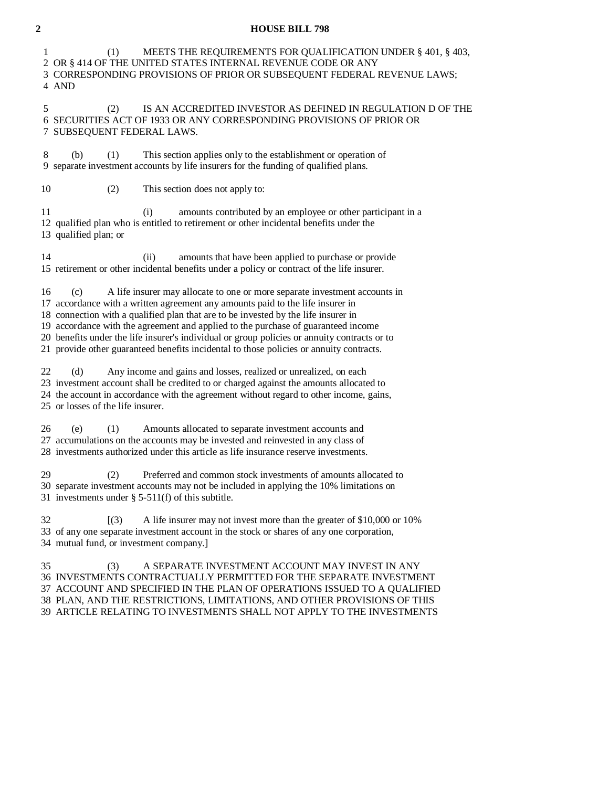### **2 HOUSE BILL 798**

 1 (1) MEETS THE REQUIREMENTS FOR QUALIFICATION UNDER § 401, § 403, 2 OR § 414 OF THE UNITED STATES INTERNAL REVENUE CODE OR ANY 3 CORRESPONDING PROVISIONS OF PRIOR OR SUBSEQUENT FEDERAL REVENUE LAWS; 4 AND

 5 (2) IS AN ACCREDITED INVESTOR AS DEFINED IN REGULATION D OF THE 6 SECURITIES ACT OF 1933 OR ANY CORRESPONDING PROVISIONS OF PRIOR OR 7 SUBSEQUENT FEDERAL LAWS.

 8 (b) (1) This section applies only to the establishment or operation of 9 separate investment accounts by life insurers for the funding of qualified plans.

10 (2) This section does not apply to:

 11 (i) amounts contributed by an employee or other participant in a 12 qualified plan who is entitled to retirement or other incidental benefits under the 13 qualified plan; or

 14 (ii) amounts that have been applied to purchase or provide 15 retirement or other incidental benefits under a policy or contract of the life insurer.

16 (c) A life insurer may allocate to one or more separate investment accounts in

17 accordance with a written agreement any amounts paid to the life insurer in

18 connection with a qualified plan that are to be invested by the life insurer in

19 accordance with the agreement and applied to the purchase of guaranteed income

20 benefits under the life insurer's individual or group policies or annuity contracts or to

21 provide other guaranteed benefits incidental to those policies or annuity contracts.

 22 (d) Any income and gains and losses, realized or unrealized, on each 23 investment account shall be credited to or charged against the amounts allocated to 24 the account in accordance with the agreement without regard to other income, gains, 25 or losses of the life insurer.

 26 (e) (1) Amounts allocated to separate investment accounts and 27 accumulations on the accounts may be invested and reinvested in any class of 28 investments authorized under this article as life insurance reserve investments.

 29 (2) Preferred and common stock investments of amounts allocated to 30 separate investment accounts may not be included in applying the 10% limitations on 31 investments under § 5-511(f) of this subtitle.

 32 [(3) A life insurer may not invest more than the greater of \$10,000 or 10% 33 of any one separate investment account in the stock or shares of any one corporation, 34 mutual fund, or investment company.]

 35 (3) A SEPARATE INVESTMENT ACCOUNT MAY INVEST IN ANY 36 INVESTMENTS CONTRACTUALLY PERMITTED FOR THE SEPARATE INVESTMENT 37 ACCOUNT AND SPECIFIED IN THE PLAN OF OPERATIONS ISSUED TO A QUALIFIED 38 PLAN, AND THE RESTRICTIONS, LIMITATIONS, AND OTHER PROVISIONS OF THIS 39 ARTICLE RELATING TO INVESTMENTS SHALL NOT APPLY TO THE INVESTMENTS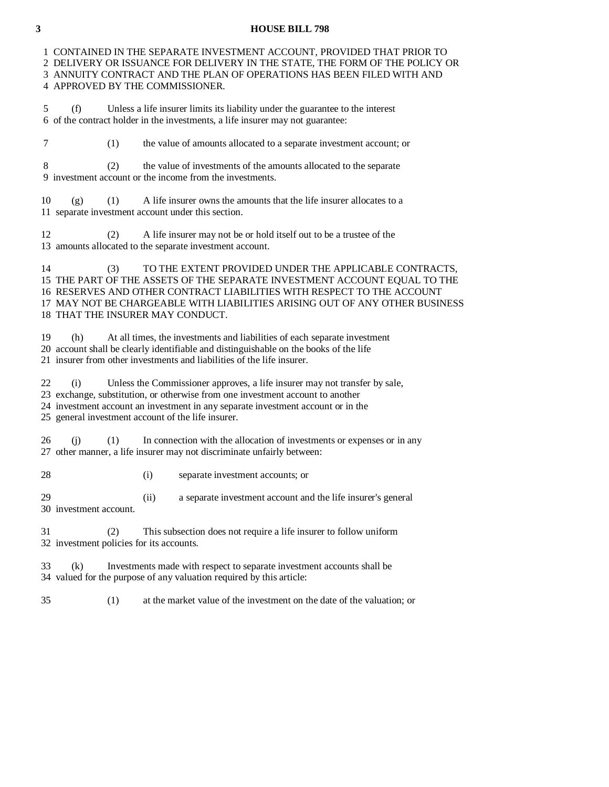### **3 HOUSE BILL 798**

 1 CONTAINED IN THE SEPARATE INVESTMENT ACCOUNT, PROVIDED THAT PRIOR TO 2 DELIVERY OR ISSUANCE FOR DELIVERY IN THE STATE, THE FORM OF THE POLICY OR 3 ANNUITY CONTRACT AND THE PLAN OF OPERATIONS HAS BEEN FILED WITH AND 4 APPROVED BY THE COMMISSIONER.

 5 (f) Unless a life insurer limits its liability under the guarantee to the interest 6 of the contract holder in the investments, a life insurer may not guarantee:

7 (1) the value of amounts allocated to a separate investment account; or

 8 (2) the value of investments of the amounts allocated to the separate 9 investment account or the income from the investments.

 $10$  (g) (1) A life insurer owns the amounts that the life insurer allocates to a 11 separate investment account under this section.

 12 (2) A life insurer may not be or hold itself out to be a trustee of the 13 amounts allocated to the separate investment account.

 14 (3) TO THE EXTENT PROVIDED UNDER THE APPLICABLE CONTRACTS, 15 THE PART OF THE ASSETS OF THE SEPARATE INVESTMENT ACCOUNT EQUAL TO THE 16 RESERVES AND OTHER CONTRACT LIABILITIES WITH RESPECT TO THE ACCOUNT 17 MAY NOT BE CHARGEABLE WITH LIABILITIES ARISING OUT OF ANY OTHER BUSINESS 18 THAT THE INSURER MAY CONDUCT.

 19 (h) At all times, the investments and liabilities of each separate investment 20 account shall be clearly identifiable and distinguishable on the books of the life 21 insurer from other investments and liabilities of the life insurer.

22 (i) Unless the Commissioner approves, a life insurer may not transfer by sale,

23 exchange, substitution, or otherwise from one investment account to another

24 investment account an investment in any separate investment account or in the

25 general investment account of the life insurer.

 26 (j) (1) In connection with the allocation of investments or expenses or in any 27 other manner, a life insurer may not discriminate unfairly between:

28 (i) separate investment accounts; or

 29 (ii) a separate investment account and the life insurer's general 30 investment account.

 31 (2) This subsection does not require a life insurer to follow uniform 32 investment policies for its accounts.

 33 (k) Investments made with respect to separate investment accounts shall be 34 valued for the purpose of any valuation required by this article:

35 (1) at the market value of the investment on the date of the valuation; or